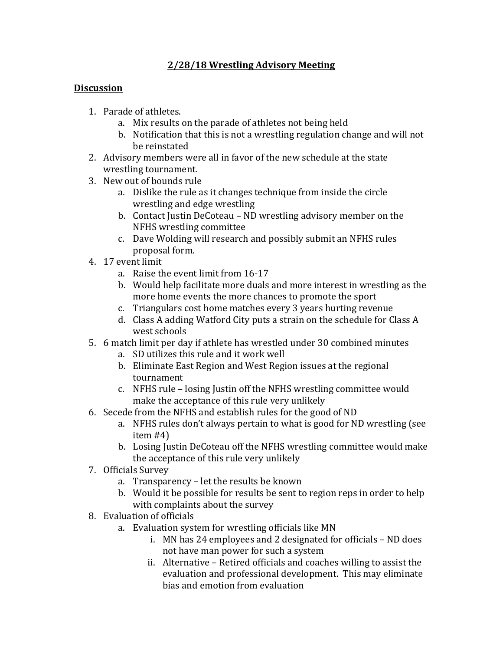## **2/28/18 Wrestling Advisory Meeting**

## **Discussion**

- 1. Parade of athletes.
	- a. Mix results on the parade of athletes not being held
	- b. Notification that this is not a wrestling regulation change and will not be reinstated
- 2. Advisory members were all in favor of the new schedule at the state wrestling tournament.
- 3. New out of bounds rule
	- a. Dislike the rule as it changes technique from inside the circle wrestling and edge wrestling
	- b. Contact Justin DeCoteau ND wrestling advisory member on the NFHS wrestling committee
	- c. Dave Wolding will research and possibly submit an NFHS rules proposal form.
- 4. 17 event limit
	- a. Raise the event limit from 16-17
	- b. Would help facilitate more duals and more interest in wrestling as the more home events the more chances to promote the sport
	- c. Triangulars cost home matches every 3 years hurting revenue
	- d. Class A adding Watford City puts a strain on the schedule for Class A west schools
- 5. 6 match limit per day if athlete has wrestled under 30 combined minutes
	- a. SD utilizes this rule and it work well
	- b. Eliminate East Region and West Region issues at the regional tournament
	- c. NFHS rule losing Justin off the NFHS wrestling committee would make the acceptance of this rule very unlikely
- 6. Secede from the NFHS and establish rules for the good of ND
	- a. NFHS rules don't always pertain to what is good for ND wrestling (see  $item #4)$
	- b. Losing Justin DeCoteau off the NFHS wrestling committee would make the acceptance of this rule very unlikely
- 7. Officials Survey
	- a. Transparency let the results be known
	- b. Would it be possible for results be sent to region reps in order to help with complaints about the survey
- 8. Evaluation of officials
	- a. Evaluation system for wrestling officials like MN
		- i. MN has 24 employees and 2 designated for officials ND does not have man power for such a system
		- ii. Alternative Retired officials and coaches willing to assist the evaluation and professional development. This may eliminate bias and emotion from evaluation